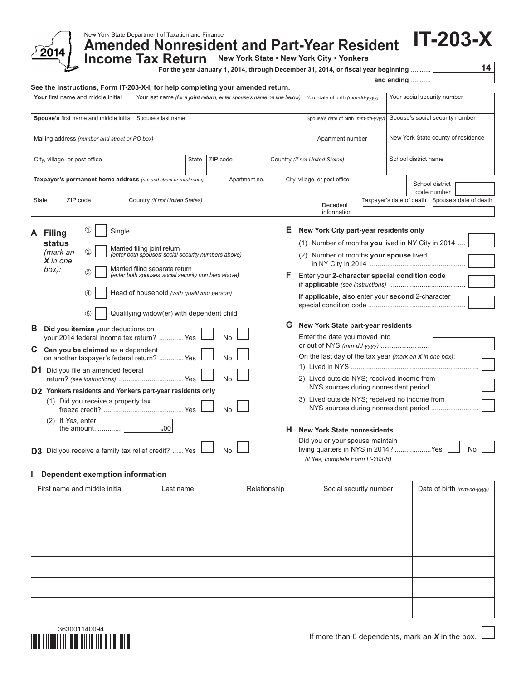

# New York State Department of Taxation and Finance

**Amended Nonresident and Part-Year Resident Income Tax Return New York State . New York City . Yonkers** 

**Income Tax Return** 

**For the year January 1, 2014, through December 31, 2014, or fiscal year beginning** ........... **14**

**IT-203-X**

#### **See the instructions, Form IT-203-X-I, for help completing your amended return.**

| <b>Your</b> first name and middle initial                         | Your last name (for a joint return, enter spouse's name on line below) |  |               |                                | Your date of birth (mm-dd-yyyy)                        |                               |                          | Your social security number     |  |                                |                        |
|-------------------------------------------------------------------|------------------------------------------------------------------------|--|---------------|--------------------------------|--------------------------------------------------------|-------------------------------|--------------------------|---------------------------------|--|--------------------------------|------------------------|
| Spouse's first name and middle initial                            | Spouse's last name                                                     |  |               |                                | Spouse's date of birth (mm-dd-yyyy)                    |                               |                          | Spouse's social security number |  |                                |                        |
| Mailing address (number and street or PO box)                     |                                                                        |  |               |                                | New York State county of residence<br>Apartment number |                               |                          |                                 |  |                                |                        |
| City, village, or post office                                     | State                                                                  |  | ZIP code      | Country (if not United States) |                                                        |                               |                          | School district name            |  |                                |                        |
| Taxpayer's permanent home address (no. and street or rural route) |                                                                        |  | Apartment no. |                                |                                                        | City, village, or post office |                          |                                 |  | School district<br>code number |                        |
| <b>State</b><br>ZIP code                                          | Country (if not United States)                                         |  |               |                                |                                                        | Decedent<br>information       | Taxpayer's date of death |                                 |  |                                | Spouse's date of death |

| A  | Filing                           | Œ                 | Single                                                                                |    |  |  |  |  |  |  |
|----|----------------------------------|-------------------|---------------------------------------------------------------------------------------|----|--|--|--|--|--|--|
|    | status<br>(mark an<br>$X$ in one | 2                 | Married filing joint return<br>(enter both spouses' social security numbers above)    |    |  |  |  |  |  |  |
|    | box):                            | ③                 | Married filing separate return<br>(enter both spouses' social security numbers above) |    |  |  |  |  |  |  |
|    |                                  | $\left( 4\right)$ | Head of household (with qualifying person)                                            |    |  |  |  |  |  |  |
|    |                                  | (5)               | Qualifying widow(er) with dependent child                                             |    |  |  |  |  |  |  |
| в  |                                  |                   | Did you itemize your deductions on<br>your 2014 federal income tax return?  Yes       | No |  |  |  |  |  |  |
| C  |                                  |                   | Can you be claimed as a dependent<br>on another taxpayer's federal return?  Yes       | No |  |  |  |  |  |  |
| D1 |                                  |                   | Did you file an amended federal                                                       | No |  |  |  |  |  |  |
|    |                                  |                   | D2 Yonkers residents and Yonkers part-year residents only                             |    |  |  |  |  |  |  |
|    |                                  |                   | (1) Did you receive a property tax                                                    |    |  |  |  |  |  |  |
|    | If Yes, enter<br>(2)             | the amount        | .00                                                                                   |    |  |  |  |  |  |  |
|    |                                  |                   | <b>D3</b> Did you receive a family tax relief credit?  Yes                            | N٥ |  |  |  |  |  |  |

## **E New York City part-year residents only**

(1) Number of months **you** lived in NY City in 2014 .... (2) Number of months **your spouse** lived in NY City in 2014 .................................................. **F** Enter your **2‑character special condition code if applicable** *(see instructions)* ........................................

and ending

|  | If applicable, also enter your second 2-character |  |
|--|---------------------------------------------------|--|
|  |                                                   |  |

### **G New York State part-year residents**

Did you or your spouse maintain

*(if* Yes*, complete Form IT-203-B)*

| Enter the date you moved into<br>or out of NYS (mm-dd-yyyy)     |
|-----------------------------------------------------------------|
| On the last day of the tax year <i>(mark an X in one box)</i> : |
| 2) Lived outside NYS; received income from                      |
| 3) Lived outside NYS; received no income from                   |
| <b>New York State nonresidents</b>                              |

 $living$  quarters in NYS in 2014? ......................Yes  $\Box$  No

### **I Dependent exemption information**

| First name and middle initial | Last name | Relationship | Social security number | Date of birth (mm-dd-yyyy) |
|-------------------------------|-----------|--------------|------------------------|----------------------------|
|                               |           |              |                        |                            |
|                               |           |              |                        |                            |
|                               |           |              |                        |                            |
|                               |           |              |                        |                            |
|                               |           |              |                        |                            |
|                               |           |              |                        |                            |
|                               |           |              |                        |                            |
|                               |           |              |                        |                            |
|                               |           |              |                        |                            |
|                               |           |              |                        |                            |
|                               |           |              |                        |                            |
|                               |           |              |                        |                            |

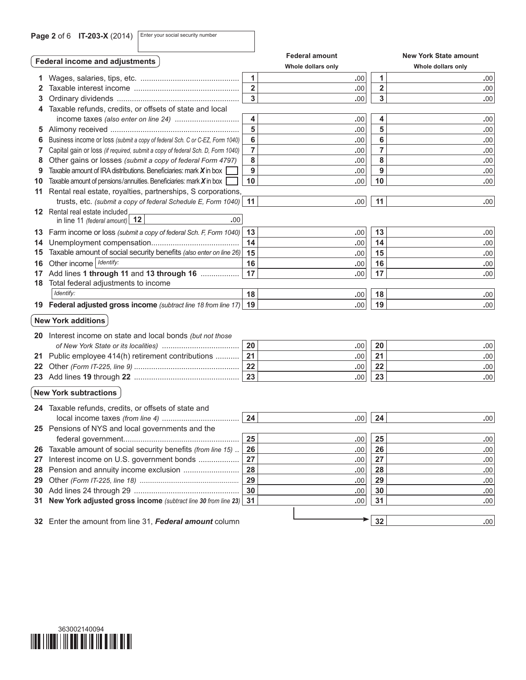**Page 2** of 6 **IT-203-X** (2014) Enter your social security number

|    |                                                                                |                         | <b>Federal amount</b> |                         | <b>New York State amount</b> |  |
|----|--------------------------------------------------------------------------------|-------------------------|-----------------------|-------------------------|------------------------------|--|
|    | <b>Federal income and adjustments</b>                                          |                         | Whole dollars only    | Whole dollars only      |                              |  |
|    |                                                                                | 1                       | .00                   | 1                       | .00                          |  |
| 2  |                                                                                | $\overline{2}$          | .00                   | $\overline{\mathbf{2}}$ | .00                          |  |
| 3  |                                                                                | $\overline{\mathbf{3}}$ | .00                   | $\overline{\mathbf{3}}$ | .00                          |  |
| 4  | Taxable refunds, credits, or offsets of state and local                        |                         |                       |                         |                              |  |
|    |                                                                                | 4                       | .00                   | 4                       | .00                          |  |
|    |                                                                                | 5                       | .00                   | 5                       | .00                          |  |
| 6  | Business income or loss (submit a copy of federal Sch. C or C-EZ, Form 1040)   | 6                       | .00                   | 6                       | .00                          |  |
| 7  | Capital gain or loss (if required, submit a copy of federal Sch. D, Form 1040) | 7                       | .00                   | 7                       | .00                          |  |
| 8  | Other gains or losses (submit a copy of federal Form 4797)                     | 8                       | .00                   | 8                       | .00                          |  |
| 9  | Taxable amount of IRA distributions. Beneficiaries: mark $X$ in box            | 9                       | .00                   | 9                       | .00                          |  |
| 10 | Taxable amount of pensions/annuities. Beneficiaries: mark $X$ in box           | 10                      | .00                   | 10                      | .00                          |  |
| 11 | Rental real estate, royalties, partnerships, S corporations,                   |                         |                       |                         |                              |  |
|    | trusts, etc. (submit a copy of federal Schedule E, Form 1040)                  | 11                      | .00                   | 11                      | .00                          |  |
|    | <b>12</b> Rental real estate included                                          |                         |                       |                         |                              |  |
|    | .00.<br>in line 11 (federal amount) $ 12\rangle$                               |                         |                       |                         |                              |  |
|    | 13 Farm income or loss (submit a copy of federal Sch. F, Form 1040)            | 13                      | .00                   | 13                      | .00                          |  |
| 14 |                                                                                | 14                      | .00                   | 14                      | .00                          |  |
| 15 | Taxable amount of social security benefits (also enter on line 26)             | 15                      | .00                   | 15                      | .00                          |  |
| 16 | Other income   Identify:                                                       | 16                      | .00                   | 16                      | .00                          |  |
|    | 17 Add lines 1 through 11 and 13 through 16                                    | 17                      | .00                   | 17                      | .00                          |  |
| 18 | Total federal adjustments to income                                            |                         |                       |                         |                              |  |
|    | Identify:                                                                      | 18                      | .00                   | 18                      | .00                          |  |
|    | 19 Federal adjusted gross income (subtract line 18 from line 17)               | 19                      | .00                   | 19                      | .00                          |  |
|    | <b>New York additions</b>                                                      |                         |                       |                         |                              |  |
|    | 20 Interest income on state and local bonds (but not those                     |                         |                       |                         |                              |  |
|    |                                                                                | 20                      | .00                   | 20                      | .00                          |  |
|    | 21 Public employee 414(h) retirement contributions                             | 21                      | .00                   | 21                      | .00                          |  |
|    |                                                                                | 22                      | .00                   | 22                      | .00                          |  |
|    |                                                                                | 23                      | .00                   | 23                      | .00                          |  |
|    | <b>New York subtractions</b>                                                   |                         |                       |                         |                              |  |
|    | 24 Taxable refunds, credits, or offsets of state and                           |                         |                       |                         |                              |  |
|    |                                                                                | 24                      | .00                   | 24                      | .00                          |  |
|    | 25 Pensions of NYS and local governments and the                               |                         |                       |                         |                              |  |
|    |                                                                                | 25                      | .00                   | 25                      | .00                          |  |
| 26 | Taxable amount of social security benefits (from line 15)                      | 26                      | .00                   | 26                      | .00                          |  |
| 27 | Interest income on U.S. government bonds                                       | 27                      | .00                   | 27                      | .00                          |  |
| 28 | Pension and annuity income exclusion                                           | 28                      | .00                   | 28                      | .00                          |  |
| 29 |                                                                                | 29                      | .00                   | 29                      | .00                          |  |
| 30 |                                                                                | 30                      | .00                   | 30                      | .00                          |  |
| 31 | New York adjusted gross income (subtract line 30 from line 23)                 | 31                      | .00                   | 31                      | .00                          |  |
|    |                                                                                |                         |                       |                         |                              |  |
|    | 32 Enter the amount from line 31, Federal amount column                        |                         |                       | 32                      | .00                          |  |

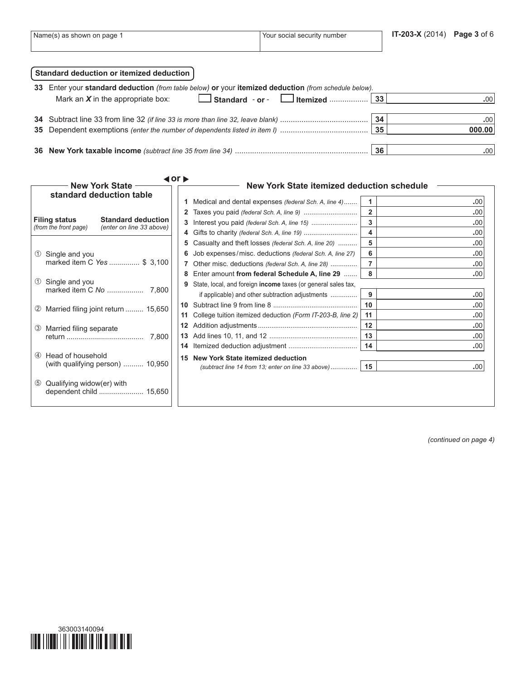| Name(s) as shown on page 1 | l Your social security number | $IT-203-X(2014)$ | Page 3 of 6 |
|----------------------------|-------------------------------|------------------|-------------|
|                            |                               |                  |             |

| Standard deduction or itemized deduction                                                              |    |               |
|-------------------------------------------------------------------------------------------------------|----|---------------|
| 33 Enter your standard deduction (from table below) or your itemized deduction (from schedule below). |    |               |
| Mark an $X$ in the appropriate box:                                                                   |    | $.00^{\circ}$ |
|                                                                                                       |    |               |
|                                                                                                       | 34 | .00           |
|                                                                                                       | 35 | 000.00        |
|                                                                                                       |    |               |
|                                                                                                       | 36 | .00           |

| <b>New York State</b>                                                     | $\blacktriangleleft$ or $\blacktriangleright$<br>New York State itemized deduction schedule                                                                                         |                                            |
|---------------------------------------------------------------------------|-------------------------------------------------------------------------------------------------------------------------------------------------------------------------------------|--------------------------------------------|
| standard deduction table<br><b>Standard deduction</b>                     | Medical and dental expenses (federal Sch. A, line 4)                                                                                                                                | 1<br>.00<br>$\overline{2}$<br>.00          |
| <b>Filing status</b><br>(from the front page)<br>(enter on line 33 above) |                                                                                                                                                                                     | 3<br>.00<br>$\overline{\mathbf{4}}$<br>.00 |
| Single and you<br>U)<br>marked item C Yes  \$ 3,100                       | Casualty and theft losses (federal Sch. A, line 20)<br>5.<br>Job expenses/misc. deductions (federal Sch. A, line 27)<br>6                                                           | 5<br>.00<br>6<br>.00                       |
| Single and you<br>(1)                                                     | Other misc. deductions (federal Sch. A, line 28)<br>Enter amount from federal Schedule A, line 29<br>8<br>State, local, and foreign <b>income</b> taxes (or general sales tax,<br>9 | $\overline{7}$<br>.00<br>8<br>.00          |
|                                                                           | if applicable) and other subtraction adjustments                                                                                                                                    | 9<br>.00<br>10<br>.00                      |
| Married filing joint return  15,650<br>(2)                                | College tuition itemized deduction (Form IT-203-B, line 2)<br>11                                                                                                                    | 11<br>.00                                  |
| Married filing separate<br>(3)<br>7.800                                   | 12                                                                                                                                                                                  | 12<br>.00<br>13<br>.00<br>14<br>.00        |
| Head of household<br>$\circled{4}$<br>(with qualifying person)  10,950    | 15 New York State itemized deduction                                                                                                                                                | .00                                        |
| Qualifying widow(er) with<br>$\circled{5}$                                |                                                                                                                                                                                     |                                            |

*(continued on page 4)*

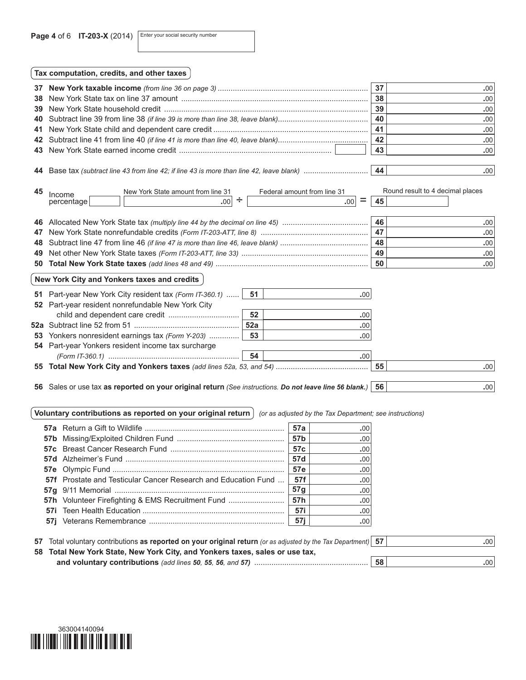Page 4 of 6 **IT-203-X** (2014) Enter your social security number

| 37<br>38<br>39 |                                                                                                                                | 37<br>38<br>39 | .00<br>.00<br>.00                                    |  |  |  |  |
|----------------|--------------------------------------------------------------------------------------------------------------------------------|----------------|------------------------------------------------------|--|--|--|--|
| 40             |                                                                                                                                | 40             | .00                                                  |  |  |  |  |
| 41             |                                                                                                                                | 41             | .00                                                  |  |  |  |  |
| 42             |                                                                                                                                | 42             | .00                                                  |  |  |  |  |
| 43             |                                                                                                                                | 43             | .00 <sub>1</sub>                                     |  |  |  |  |
| 44<br>45       | New York State amount from line 31<br>Federal amount from line 31<br>Income<br>÷<br>=<br>.00 <sub>1</sub><br>percentage<br>.00 | 45             | .00 <sub>1</sub><br>Round result to 4 decimal places |  |  |  |  |
| 46             |                                                                                                                                | 46             | .00                                                  |  |  |  |  |
| 47             |                                                                                                                                | 47             | .00                                                  |  |  |  |  |
| 48             |                                                                                                                                | 48             | .00                                                  |  |  |  |  |
| 49             |                                                                                                                                | 49             | .00                                                  |  |  |  |  |
| 50             |                                                                                                                                | 50             | .00 <sub>1</sub>                                     |  |  |  |  |
|                | New York City and Yonkers taxes and credits                                                                                    |                |                                                      |  |  |  |  |

| 51 Part-year New York City resident tax (Form IT-360.1)    51 |      | .00              |    |      |
|---------------------------------------------------------------|------|------------------|----|------|
| 52 Part-year resident nonrefundable New York City             |      |                  |    |      |
|                                                               | 52   | .00              |    |      |
|                                                               | 52a  | .00.             |    |      |
| 53 Yonkers nonresident earnings tax (Form Y-203)              | - 53 | .001             |    |      |
| 54 Part-year Yonkers resident income tax surcharge            |      |                  |    |      |
|                                                               | - 54 | .00 <sup>1</sup> |    |      |
|                                                               |      |                  | 55 | .001 |
|                                                               |      |                  |    |      |

**56** Sales or use tax **as reported on your original return** *(See instructions. Do not leave line 56 blank.)* **56 .**00

**Voluntary contributions as reported on your original return** *(or as adjusted by the Tax Department; see instructions)*

|                                                                       | 57а             | .00  |
|-----------------------------------------------------------------------|-----------------|------|
|                                                                       | 57b             | .00  |
|                                                                       | 57c             | .00. |
|                                                                       | 57d             | .00  |
|                                                                       | 57e             | .00. |
| <b>57f</b> Prostate and Testicular Cancer Research and Education Fund | - 57f           | .00. |
|                                                                       | 57 <sub>g</sub> | .00. |
| <b>57h</b> Volunteer Firefighting & EMS Recruitment Fund              | <b>57h</b> l    | .00. |
|                                                                       | - 57i           | .00. |
|                                                                       | 57i             | .00  |
|                                                                       |                 |      |

| 57 Total voluntary contributions as reported on your original return (or as adjusted by the Tax Department) 57 |    | .001 |  |  |  |  |  |
|----------------------------------------------------------------------------------------------------------------|----|------|--|--|--|--|--|
| 58 Total New York State, New York City, and Yonkers taxes, sales or use tax,                                   |    |      |  |  |  |  |  |
|                                                                                                                | 58 | .001 |  |  |  |  |  |

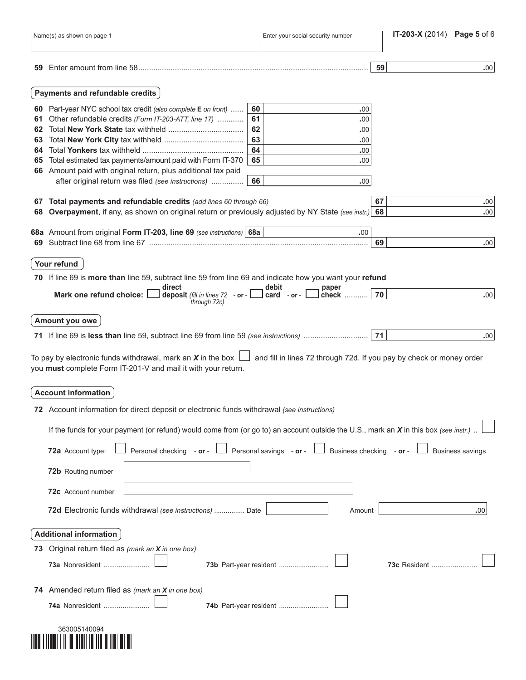|    | Name(s) as shown on page 1                                                                                                                                                                                                                                                                                                            |    | Enter your social security number                   |    | IT-203-X (2014) Page 5 of 6 |
|----|---------------------------------------------------------------------------------------------------------------------------------------------------------------------------------------------------------------------------------------------------------------------------------------------------------------------------------------|----|-----------------------------------------------------|----|-----------------------------|
| 59 |                                                                                                                                                                                                                                                                                                                                       |    |                                                     | 59 | .00.                        |
|    |                                                                                                                                                                                                                                                                                                                                       |    |                                                     |    |                             |
|    | Payments and refundable credits                                                                                                                                                                                                                                                                                                       |    |                                                     |    |                             |
|    | 60 Part-year NYC school tax credit (also complete E on front)                                                                                                                                                                                                                                                                         | 60 | 00.                                                 |    |                             |
| 61 | Other refundable credits (Form IT-203-ATT, line 17)                                                                                                                                                                                                                                                                                   | 61 | .00                                                 |    |                             |
| 62 |                                                                                                                                                                                                                                                                                                                                       | 62 | .00                                                 |    |                             |
| 63 |                                                                                                                                                                                                                                                                                                                                       | 63 | .00                                                 |    |                             |
| 64 |                                                                                                                                                                                                                                                                                                                                       | 64 | .00                                                 |    |                             |
| 65 | Total estimated tax payments/amount paid with Form IT-370                                                                                                                                                                                                                                                                             | 65 | .00                                                 |    |                             |
|    | 66 Amount paid with original return, plus additional tax paid                                                                                                                                                                                                                                                                         |    |                                                     |    |                             |
|    | after original return was filed (see instructions)                                                                                                                                                                                                                                                                                    | 66 | .00.                                                |    |                             |
|    | 67 Total payments and refundable credits (add lines 60 through 66)                                                                                                                                                                                                                                                                    |    |                                                     | 67 | .00                         |
| 68 | Overpayment, if any, as shown on original return or previously adjusted by NY State (see instr.)                                                                                                                                                                                                                                      |    |                                                     | 68 | .00.                        |
|    |                                                                                                                                                                                                                                                                                                                                       |    |                                                     |    |                             |
|    | 68a Amount from original Form IT-203, line 69 (see instructions) 68a                                                                                                                                                                                                                                                                  |    | .00.                                                | 69 | .00.                        |
|    |                                                                                                                                                                                                                                                                                                                                       |    |                                                     |    |                             |
|    | Your refund                                                                                                                                                                                                                                                                                                                           |    |                                                     |    |                             |
|    | 70 If line 69 is more than line 59, subtract line 59 from line 69 and indicate how you want your refund                                                                                                                                                                                                                               |    |                                                     |    |                             |
|    | direct<br>deposit (fill in lines $72 - or -$<br>Mark one refund choice:                                                                                                                                                                                                                                                               |    | debit<br>paper<br>$card - or -$<br>check            | 70 | .00                         |
|    | through 72c)                                                                                                                                                                                                                                                                                                                          |    |                                                     |    |                             |
|    | Amount you owe                                                                                                                                                                                                                                                                                                                        |    |                                                     |    |                             |
|    |                                                                                                                                                                                                                                                                                                                                       |    |                                                     |    |                             |
|    |                                                                                                                                                                                                                                                                                                                                       |    |                                                     | 71 | .00.                        |
|    | To pay by electronic funds withdrawal, mark an X in the box $\Box$ and fill in lines 72 through 72d. If you pay by check or money order<br>you must complete Form IT-201-V and mail it with your return.<br><b>Account information</b><br>72 Account information for direct deposit or electronic funds withdrawal (see instructions) |    |                                                     |    |                             |
|    | If the funds for your payment (or refund) would come from (or go to) an account outside the U.S., mark an X in this box (see instr.).                                                                                                                                                                                                 |    |                                                     |    |                             |
|    |                                                                                                                                                                                                                                                                                                                                       |    |                                                     |    |                             |
|    | 72a Account type:<br>Personal checking - or -                                                                                                                                                                                                                                                                                         |    | Personal savings - or -<br>Business checking - or - |    | <b>Business savings</b>     |
|    | 72b Routing number                                                                                                                                                                                                                                                                                                                    |    |                                                     |    |                             |
|    | 72c Account number                                                                                                                                                                                                                                                                                                                    |    |                                                     |    |                             |
|    | 72d Electronic funds withdrawal (see instructions)  Date                                                                                                                                                                                                                                                                              |    | Amount                                              |    | .00                         |
|    | <b>Additional information</b>                                                                                                                                                                                                                                                                                                         |    |                                                     |    |                             |
|    | 73 Original return filed as (mark an X in one box)                                                                                                                                                                                                                                                                                    |    |                                                     |    |                             |
|    |                                                                                                                                                                                                                                                                                                                                       |    |                                                     |    |                             |
|    | 73a Nonresident                                                                                                                                                                                                                                                                                                                       |    | 73b Part-year resident                              |    | <b>73c</b> Resident         |
|    | 74 Amended return filed as (mark an X in one box)                                                                                                                                                                                                                                                                                     |    |                                                     |    |                             |
|    |                                                                                                                                                                                                                                                                                                                                       |    |                                                     |    |                             |
|    | <b>74a</b> Nonresident                                                                                                                                                                                                                                                                                                                |    | 74b Part-year resident                              |    |                             |
|    | 363005140094                                                                                                                                                                                                                                                                                                                          |    |                                                     |    |                             |